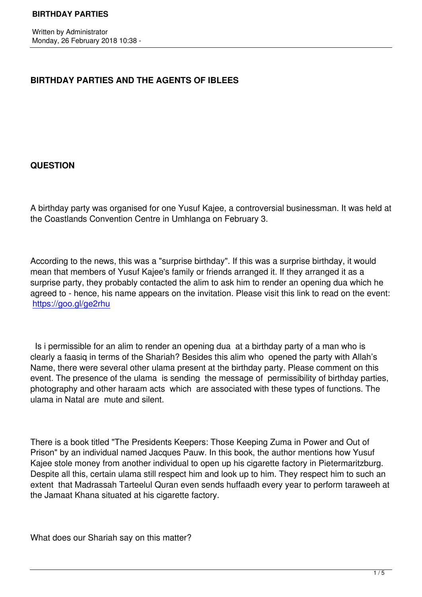# **BIRTHDAY PARTIES AND THE AGENTS OF IBLEES**

### **QUESTION**

A birthday party was organised for one Yusuf Kajee, a controversial businessman. It was held at the Coastlands Convention Centre in Umhlanga on February 3.

According to the news, this was a "surprise birthday". If this was a surprise birthday, it would mean that members of Yusuf Kajee's family or friends arranged it. If they arranged it as a surprise party, they probably contacted the alim to ask him to render an opening dua which he agreed to - hence, his name appears on the invitation. Please visit this link to read on the event: https://goo.gl/ge2rhu

 [Is i permissible for a](https://goo.gl/ge2rhu)n alim to render an opening dua at a birthday party of a man who is clearly a faasiq in terms of the Shariah? Besides this alim who opened the party with Allah's Name, there were several other ulama present at the birthday party. Please comment on this event. The presence of the ulama is sending the message of permissibility of birthday parties, photography and other haraam acts which are associated with these types of functions. The ulama in Natal are mute and silent.

There is a book titled "The Presidents Keepers: Those Keeping Zuma in Power and Out of Prison" by an individual named Jacques Pauw. In this book, the author mentions how Yusuf Kajee stole money from another individual to open up his cigarette factory in Pietermaritzburg. Despite all this, certain ulama still respect him and look up to him. They respect him to such an extent that Madrassah Tarteelul Quran even sends huffaadh every year to perform taraweeh at the Jamaat Khana situated at his cigarette factory.

What does our Shariah say on this matter?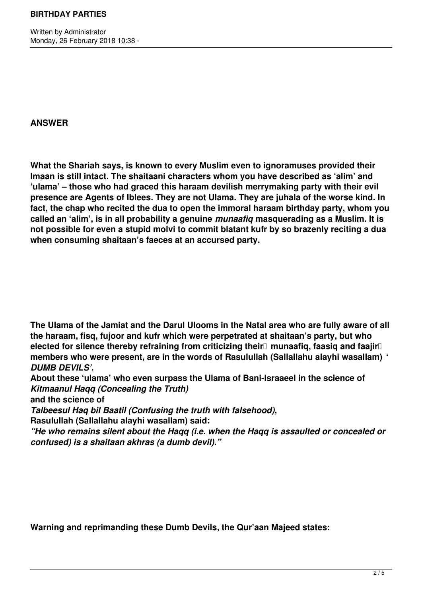Written by Administrator Monday, 26 February 2018 10:38 -

### **ANSWER**

**What the Shariah says, is known to every Muslim even to ignoramuses provided their Imaan is still intact. The shaitaani characters whom you have described as 'alim' and 'ulama' – those who had graced this haraam devilish merrymaking party with their evil presence are Agents of Iblees. They are not Ulama. They are juhala of the worse kind. In fact, the chap who recited the dua to open the immoral haraam birthday party, whom you called an 'alim', is in all probability a genuine** *munaafiq* **masquerading as a Muslim. It is not possible for even a stupid molvi to commit blatant kufr by so brazenly reciting a dua when consuming shaitaan's faeces at an accursed party.**

**The Ulama of the Jamiat and the Darul Ulooms in the Natal area who are fully aware of all the haraam, fisq, fujoor and kufr which were perpetrated at shaitaan's party, but who** elected for silence thereby refraining from criticizing their<sup>[]</sup> munaafig, faasig and faajir<sup>[]</sup> **members who were present, are in the words of Rasulullah (Sallallahu alayhi wasallam)** *' DUMB DEVILS'.* 

**About these 'ulama' who even surpass the Ulama of Bani-Israaeel in the science of**  *Kitmaanul Haqq (Concealing the Truth)*

**and the science of** 

*Talbeesul Haq bil Baatil (Confusing the truth with falsehood),*

**Rasulullah (Sallallahu alayhi wasallam) said:**

*"He who remains silent about the Haqq (i.e. when the Haqq is assaulted or concealed or confused) is a shaitaan akhras (a dumb devil)."*

**Warning and reprimanding these Dumb Devils, the Qur'aan Majeed states:**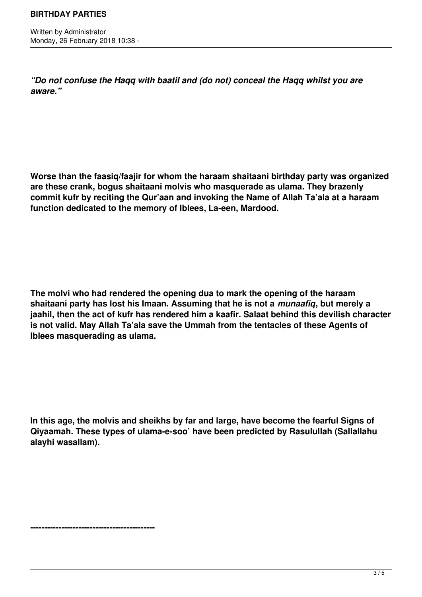Written by Administrator Monday, 26 February 2018 10:38 -

*"Do not confuse the Haqq with baatil and (do not) conceal the Haqq whilst you are aware."*

**Worse than the faasiq/faajir for whom the haraam shaitaani birthday party was organized are these crank, bogus shaitaani molvis who masquerade as ulama. They brazenly commit kufr by reciting the Qur'aan and invoking the Name of Allah Ta'ala at a haraam function dedicated to the memory of Iblees, La-een, Mardood.**

**The molvi who had rendered the opening dua to mark the opening of the haraam shaitaani party has lost his Imaan. Assuming that he is not a** *munaafiq***, but merely a jaahil, then the act of kufr has rendered him a kaafir. Salaat behind this devilish character is not valid. May Allah Ta'ala save the Ummah from the tentacles of these Agents of Iblees masquerading as ulama.**

**In this age, the molvis and sheikhs by far and large, have become the fearful Signs of Qiyaamah. These types of ulama-e-soo' have been predicted by Rasulullah (Sallallahu alayhi wasallam).**

**--------------------------------------------**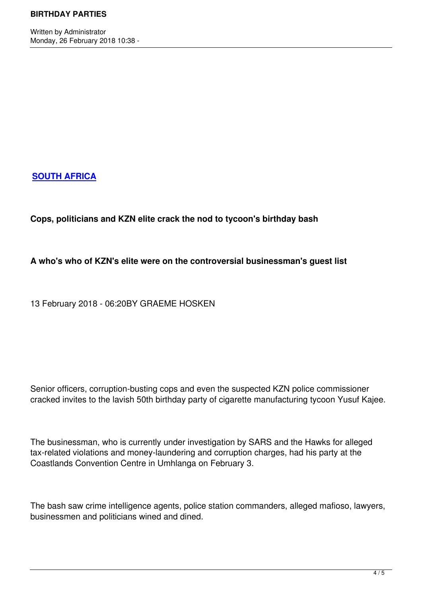Written by Administrator and Administrator and Administrator and Administrator and Administrator and Administrator and Administrator and Administrator and Administrator and Administrator and Administrator and Administrator

# **SOUTH AFRICA**

## **[Cops, politicians](https://www.timeslive.co.za/news/south-africa/) and KZN elite crack the nod to tycoon's birthday bash**

### **A who's who of KZN's elite were on the controversial businessman's guest list**

13 February 2018 - 06:20BY GRAEME HOSKEN

Senior officers, corruption-busting cops and even the suspected KZN police commissioner cracked invites to the lavish 50th birthday party of cigarette manufacturing tycoon Yusuf Kajee.

The businessman, who is currently under investigation by SARS and the Hawks for alleged tax-related violations and money-laundering and corruption charges, had his party at the Coastlands Convention Centre in Umhlanga on February 3.

The bash saw crime intelligence agents, police station commanders, alleged mafioso, lawyers, businessmen and politicians wined and dined.